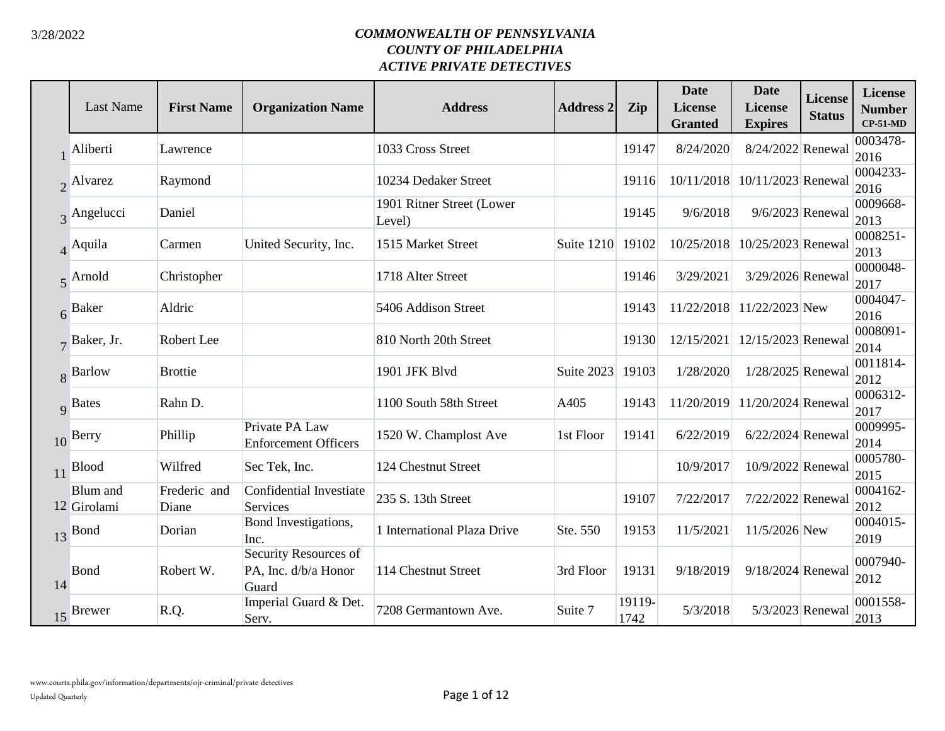|    | <b>Last Name</b>         | <b>First Name</b>     | <b>Organization Name</b>                               | <b>Address</b>                      | <b>Address 2</b> | Zip            | <b>Date</b><br>License<br><b>Granted</b> | <b>Date</b><br><b>License</b><br><b>Expires</b> | <b>License</b><br><b>Status</b> | <b>License</b><br><b>Number</b><br>$CP-51-MD$ |
|----|--------------------------|-----------------------|--------------------------------------------------------|-------------------------------------|------------------|----------------|------------------------------------------|-------------------------------------------------|---------------------------------|-----------------------------------------------|
|    | Aliberti                 | Lawrence              |                                                        | 1033 Cross Street                   |                  | 19147          | 8/24/2020                                | 8/24/2022 Renewal                               |                                 | 0003478-<br>2016                              |
|    | 2 Alvarez                | Raymond               |                                                        | 10234 Dedaker Street                |                  | 19116          | 10/11/2018                               | 10/11/2023 Renewal                              |                                 | 0004233-<br>2016                              |
|    | $\overline{3}$ Angelucci | Daniel                |                                                        | 1901 Ritner Street (Lower<br>Level) |                  | 19145          | 9/6/2018                                 | 9/6/2023 Renewal                                |                                 | 0009668-<br>2013                              |
|    | $\overline{4}$ Aquila    | Carmen                | United Security, Inc.                                  | 1515 Market Street                  | Suite 1210       | 19102          | 10/25/2018                               | 10/25/2023 Renewal                              |                                 | 0008251-<br>2013                              |
|    | $\overline{5}$ Arnold    | Christopher           |                                                        | 1718 Alter Street                   |                  | 19146          | 3/29/2021                                | 3/29/2026 Renewal                               |                                 | 0000048-<br>2017                              |
|    | 6 Baker                  | Aldric                |                                                        | 5406 Addison Street                 |                  | 19143          |                                          | 11/22/2018 11/22/2023 New                       |                                 | 0004047-<br>2016                              |
|    | $7$ Baker, Jr.           | Robert Lee            |                                                        | 810 North 20th Street               |                  | 19130          | 12/15/2021                               | 12/15/2023 Renewal                              |                                 | 0008091-<br>2014                              |
|    | 8 Barlow                 | <b>Brottie</b>        |                                                        | 1901 JFK Blvd                       | Suite 2023       | 19103          | 1/28/2020                                | 1/28/2025 Renewal                               |                                 | 0011814-<br>2012                              |
|    | 9 Bates                  | Rahn D.               |                                                        | 1100 South 58th Street              | A405             | 19143          | 11/20/2019                               | 11/20/2024 Renewal                              |                                 | 0006312-<br>2017                              |
|    | 10 Berry                 | Phillip               | Private PA Law<br><b>Enforcement Officers</b>          | 1520 W. Champlost Ave               | 1st Floor        | 19141          | 6/22/2019                                | 6/22/2024 Renewal                               |                                 | 0009995-<br>2014                              |
|    | $11$ Blood               | Wilfred               | Sec Tek, Inc.                                          | 124 Chestnut Street                 |                  |                | 10/9/2017                                | 10/9/2022 Renewal                               |                                 | 0005780-<br>2015                              |
|    | Blum and<br>12 Girolami  | Frederic and<br>Diane | Confidential Investiate<br>Services                    | 235 S. 13th Street                  |                  | 19107          | 7/22/2017                                | 7/22/2022 Renewal                               |                                 | 0004162-<br>2012                              |
|    | 13 Bond                  | Dorian                | Bond Investigations,<br>Inc.                           | 1 International Plaza Drive         | Ste. 550         | 19153          | 11/5/2021                                | 11/5/2026 New                                   |                                 | 0004015-<br>2019                              |
| 14 | Bond                     | Robert W.             | Security Resources of<br>PA, Inc. d/b/a Honor<br>Guard | 114 Chestnut Street                 | 3rd Floor        | 19131          | 9/18/2019                                | 9/18/2024 Renewal                               |                                 | 0007940-<br>2012                              |
|    | 15 Brewer                | R.Q.                  | Imperial Guard & Det.<br>Serv.                         | 7208 Germantown Ave.                | Suite 7          | 19119-<br>1742 | 5/3/2018                                 | 5/3/2023 Renewal                                |                                 | 0001558-<br>2013                              |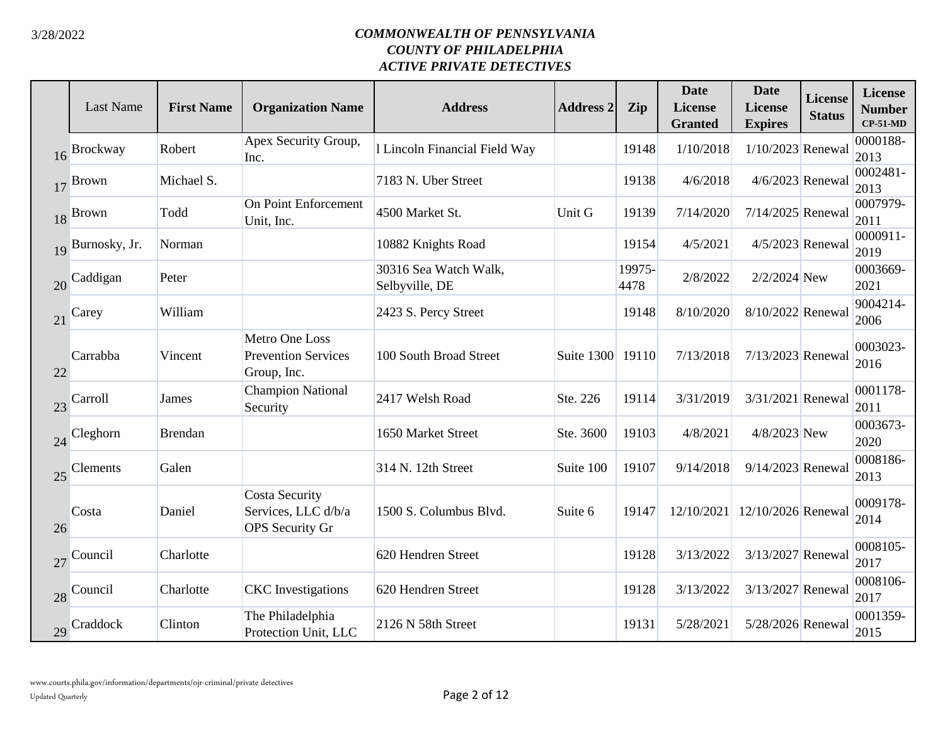|    | <b>Last Name</b> | <b>First Name</b> | <b>Organization Name</b>                                               | <b>Address</b>                          | <b>Address 2</b> | Zip            | <b>Date</b><br><b>License</b><br><b>Granted</b> | <b>Date</b><br><b>License</b><br><b>Expires</b> | <b>License</b><br><b>Status</b> | <b>License</b><br><b>Number</b><br>$CP-51-MD$ |
|----|------------------|-------------------|------------------------------------------------------------------------|-----------------------------------------|------------------|----------------|-------------------------------------------------|-------------------------------------------------|---------------------------------|-----------------------------------------------|
|    | 16 Brockway      | Robert            | Apex Security Group,<br>Inc.                                           | 1 Lincoln Financial Field Way           |                  | 19148          | 1/10/2018                                       | $1/10/2023$ Renewal                             |                                 | 0000188-<br>2013                              |
|    | $17$ Brown       | Michael S.        |                                                                        | 7183 N. Uber Street                     |                  | 19138          | 4/6/2018                                        | $4/6/2023$ Renewal                              |                                 | 0002481-<br>2013                              |
|    | 18 Brown         | Todd              | <b>On Point Enforcement</b><br>Unit, Inc.                              | 4500 Market St.                         | Unit G           | 19139          | 7/14/2020                                       | 7/14/2025 Renewal                               |                                 | 0007979-<br>2011                              |
|    | 19 Burnosky, Jr. | Norman            |                                                                        | 10882 Knights Road                      |                  | 19154          | 4/5/2021                                        | 4/5/2023 Renewal                                |                                 | 0000911-<br>2019                              |
|    | 20 Caddigan      | Peter             |                                                                        | 30316 Sea Watch Walk,<br>Selbyville, DE |                  | 19975-<br>4478 | 2/8/2022                                        | 2/2/2024 New                                    |                                 | 0003669-<br>2021                              |
| 21 | Carey            | William           |                                                                        | 2423 S. Percy Street                    |                  | 19148          | 8/10/2020                                       | 8/10/2022 Renewal                               |                                 | 9004214-<br>2006                              |
| 22 | Carrabba         | Vincent           | Metro One Loss<br><b>Prevention Services</b><br>Group, Inc.            | 100 South Broad Street                  | Suite 1300 19110 |                | 7/13/2018                                       | 7/13/2023 Renewal                               |                                 | 0003023-<br>2016                              |
|    | 23 Carroll       | James             | <b>Champion National</b><br>Security                                   | 2417 Welsh Road                         | Ste. 226         | 19114          | 3/31/2019                                       | 3/31/2021 Renewal                               |                                 | 0001178-<br>2011                              |
|    | 24 Cleghorn      | <b>Brendan</b>    |                                                                        | 1650 Market Street                      | Ste. 3600        | 19103          | 4/8/2021                                        | 4/8/2023 New                                    |                                 | 0003673-<br>2020                              |
|    | 25 Clements      | Galen             |                                                                        | 314 N. 12th Street                      | Suite 100        | 19107          | 9/14/2018                                       | 9/14/2023 Renewal                               |                                 | 0008186-<br>2013                              |
| 26 | Costa            | Daniel            | <b>Costa Security</b><br>Services, LLC d/b/a<br><b>OPS</b> Security Gr | 1500 S. Columbus Blvd.                  | Suite 6          | 19147          | 12/10/2021                                      | 12/10/2026 Renewal                              |                                 | 0009178-<br>2014                              |
| 27 | Council          | Charlotte         |                                                                        | 620 Hendren Street                      |                  | 19128          | 3/13/2022                                       | 3/13/2027 Renewal                               |                                 | 0008105-<br>2017                              |
|    | 28 Council       | Charlotte         | <b>CKC</b> Investigations                                              | 620 Hendren Street                      |                  | 19128          | 3/13/2022                                       | 3/13/2027 Renewal                               |                                 | 0008106-<br>2017                              |
|    | 29 Craddock      | Clinton           | The Philadelphia<br>Protection Unit, LLC                               | 2126 N 58th Street                      |                  | 19131          | 5/28/2021                                       | 5/28/2026 Renewal                               |                                 | 0001359-<br>2015                              |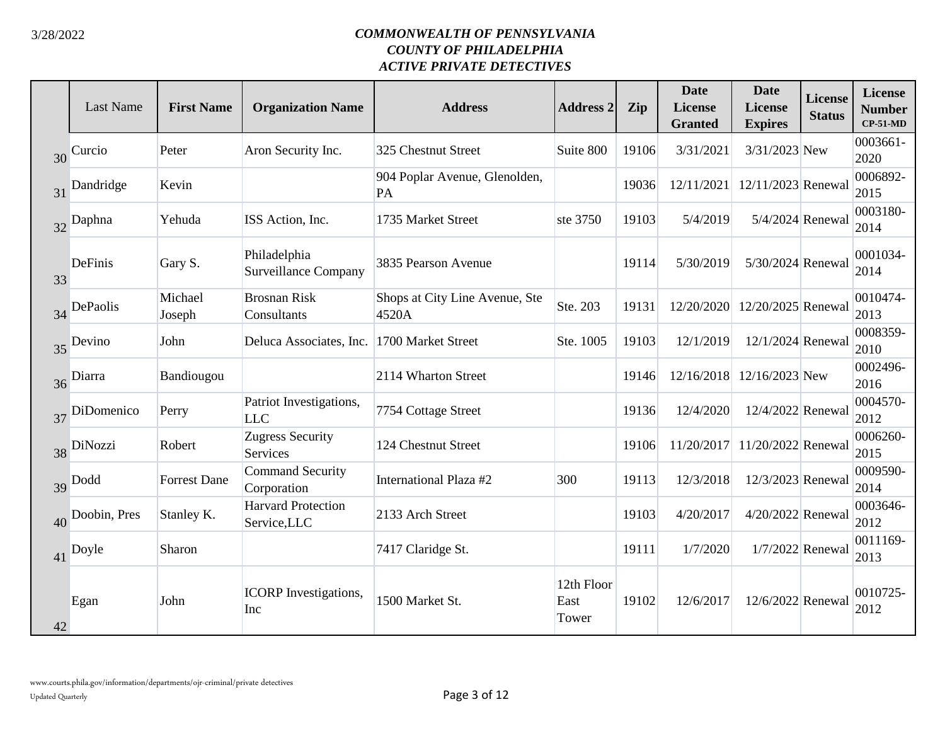|    | <b>Last Name</b> | <b>First Name</b>   | <b>Organization Name</b>                    | <b>Address</b>                          | <b>Address 2</b>            | Zip   | <b>Date</b><br>License<br><b>Granted</b> | <b>Date</b><br>License<br><b>Expires</b> | <b>License</b><br><b>Status</b> | <b>License</b><br><b>Number</b><br>$CP-51-MD$ |
|----|------------------|---------------------|---------------------------------------------|-----------------------------------------|-----------------------------|-------|------------------------------------------|------------------------------------------|---------------------------------|-----------------------------------------------|
| 30 | Curcio           | Peter               | Aron Security Inc.                          | 325 Chestnut Street                     | Suite 800                   | 19106 | 3/31/2021                                | 3/31/2023 New                            |                                 | 0003661-<br>2020                              |
|    | 31 Dandridge     | Kevin               |                                             | 904 Poplar Avenue, Glenolden,<br>PA     |                             | 19036 | 12/11/2021                               | 12/11/2023 Renewal                       |                                 | 0006892-<br>2015                              |
|    | 32 Daphna        | Yehuda              | ISS Action, Inc.                            | 1735 Market Street                      | ste 3750                    | 19103 | 5/4/2019                                 | 5/4/2024 Renewal                         |                                 | 0003180-<br>2014                              |
| 33 | <b>DeFinis</b>   | Gary S.             | Philadelphia<br><b>Surveillance Company</b> | 3835 Pearson Avenue                     |                             | 19114 | 5/30/2019                                | 5/30/2024 Renewal                        |                                 | 0001034-<br>2014                              |
|    | 34 DePaolis      | Michael<br>Joseph   | <b>Brosnan Risk</b><br>Consultants          | Shops at City Line Avenue, Ste<br>4520A | Ste. 203                    | 19131 | 12/20/2020                               | 12/20/2025 Renewal                       |                                 | 0010474-<br>2013                              |
|    | 35 Devino        | John                | Deluca Associates, Inc.                     | 1700 Market Street                      | Ste. 1005                   | 19103 | 12/1/2019                                | 12/1/2024 Renewal                        |                                 | 0008359-<br>2010                              |
| 36 | Diarra           | Bandiougou          |                                             | 2114 Wharton Street                     |                             | 19146 | 12/16/2018                               | 12/16/2023 New                           |                                 | 0002496-<br>2016                              |
|    | 37 DiDomenico    | Perry               | Patriot Investigations,<br><b>LLC</b>       | 7754 Cottage Street                     |                             | 19136 | 12/4/2020                                | 12/4/2022 Renewal                        |                                 | 0004570-<br>2012                              |
|    | 38 DiNozzi       | Robert              | <b>Zugress Security</b><br>Services         | 124 Chestnut Street                     |                             | 19106 |                                          | 11/20/2017 11/20/2022 Renewal            |                                 | 0006260-<br>2015                              |
|    | 39 Dodd          | <b>Forrest Dane</b> | <b>Command Security</b><br>Corporation      | International Plaza #2                  | 300                         | 19113 | 12/3/2018                                | 12/3/2023 Renewal                        |                                 | 0009590-<br>2014                              |
|    | 40 Doobin, Pres  | Stanley K.          | <b>Harvard Protection</b><br>Service, LLC   | 2133 Arch Street                        |                             | 19103 | 4/20/2017                                | 4/20/2022 Renewal                        |                                 | 0003646-<br>2012                              |
|    | 41 Doyle         | Sharon              |                                             | 7417 Claridge St.                       |                             | 19111 | 1/7/2020                                 | 1/7/2022 Renewal                         |                                 | 0011169-<br>2013                              |
| 42 | Egan             | John                | <b>ICORP</b> Investigations,<br>Inc         | 1500 Market St.                         | 12th Floor<br>East<br>Tower | 19102 | 12/6/2017                                | 12/6/2022 Renewal                        |                                 | 0010725-<br>2012                              |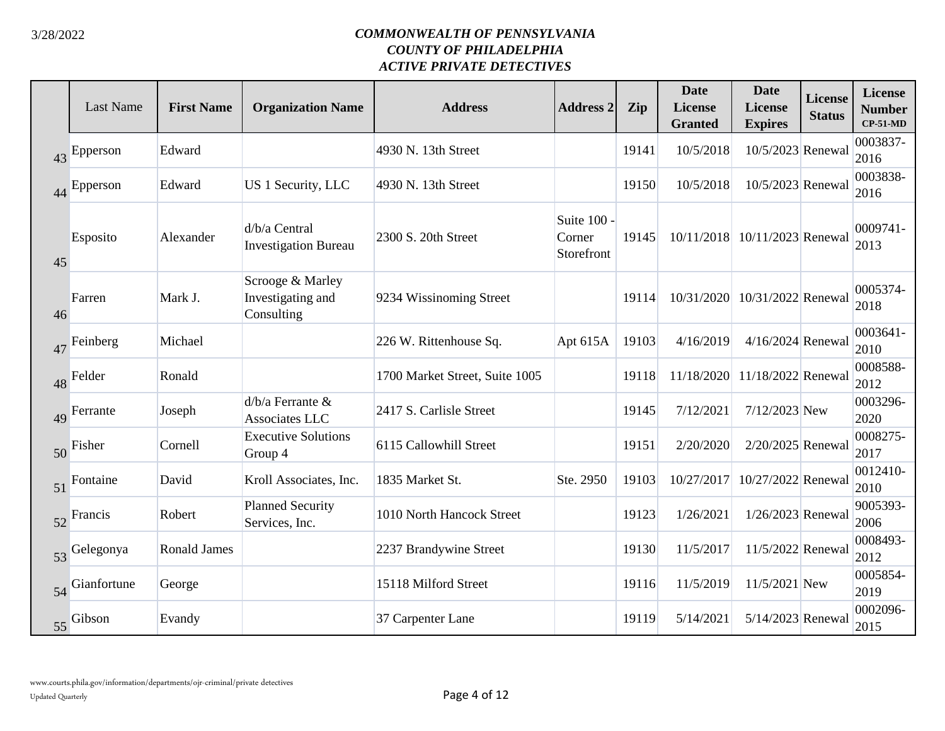|    | <b>Last Name</b> | <b>First Name</b>   | <b>Organization Name</b>                            | <b>Address</b>                 | <b>Address 2</b>                    | Zip   | <b>Date</b><br><b>License</b><br><b>Granted</b> | <b>Date</b><br><b>License</b><br><b>Expires</b> | <b>License</b><br><b>Status</b> | <b>License</b><br><b>Number</b><br>$CP-51-MD$ |
|----|------------------|---------------------|-----------------------------------------------------|--------------------------------|-------------------------------------|-------|-------------------------------------------------|-------------------------------------------------|---------------------------------|-----------------------------------------------|
| 43 | Epperson         | Edward              |                                                     | 4930 N. 13th Street            |                                     | 19141 | 10/5/2018                                       | 10/5/2023 Renewal                               |                                 | 0003837-<br>2016                              |
|    | 44 Epperson      | Edward              | US 1 Security, LLC                                  | 4930 N. 13th Street            |                                     | 19150 | 10/5/2018                                       | 10/5/2023 Renewal                               |                                 | 0003838-<br>2016                              |
| 45 | Esposito         | Alexander           | d/b/a Central<br><b>Investigation Bureau</b>        | 2300 S. 20th Street            | Suite 100 -<br>Corner<br>Storefront | 19145 |                                                 | 10/11/2018 10/11/2023 Renewal                   |                                 | 0009741-<br>2013                              |
| 46 | Farren           | Mark J.             | Scrooge & Marley<br>Investigating and<br>Consulting | 9234 Wissinoming Street        |                                     | 19114 |                                                 | 10/31/2020 10/31/2022 Renewal                   |                                 | 0005374-<br>2018                              |
| 47 | Feinberg         | Michael             |                                                     | 226 W. Rittenhouse Sq.         | Apt $615A$                          | 19103 | 4/16/2019                                       | $4/16/2024$ Renewal                             |                                 | 0003641-<br>2010                              |
|    | 48 Felder        | Ronald              |                                                     | 1700 Market Street, Suite 1005 |                                     | 19118 | 11/18/2020                                      | 11/18/2022 Renewal                              |                                 | 0008588-<br>2012                              |
| 49 | Ferrante         | Joseph              | $d/b/a$ Ferrante $&$<br>Associates LLC              | 2417 S. Carlisle Street        |                                     | 19145 | 7/12/2021                                       | 7/12/2023 New                                   |                                 | 0003296-<br>2020                              |
| 50 | Fisher           | Cornell             | <b>Executive Solutions</b><br>Group 4               | 6115 Callowhill Street         |                                     | 19151 | 2/20/2020                                       | 2/20/2025 Renewal                               |                                 | 0008275-<br>2017                              |
|    | 51 Fontaine      | David               | Kroll Associates, Inc.                              | 1835 Market St.                | Ste. 2950                           | 19103 | 10/27/2017                                      | 10/27/2022 Renewal                              |                                 | 0012410-<br>2010                              |
|    | 52 Francis       | Robert              | <b>Planned Security</b><br>Services, Inc.           | 1010 North Hancock Street      |                                     | 19123 | 1/26/2021                                       | 1/26/2023 Renewal                               |                                 | 9005393-<br>2006                              |
| 53 | Gelegonya        | <b>Ronald James</b> |                                                     | 2237 Brandywine Street         |                                     | 19130 | 11/5/2017                                       | 11/5/2022 Renewal                               |                                 | 0008493-<br>2012                              |
|    | 54 Gianfortune   | George              |                                                     | 15118 Milford Street           |                                     | 19116 | 11/5/2019                                       | 11/5/2021 New                                   |                                 | 0005854-<br>2019                              |
|    | 55 Gibson        | Evandy              |                                                     | 37 Carpenter Lane              |                                     | 19119 | 5/14/2021                                       | 5/14/2023 Renewal                               |                                 | 0002096-<br>2015                              |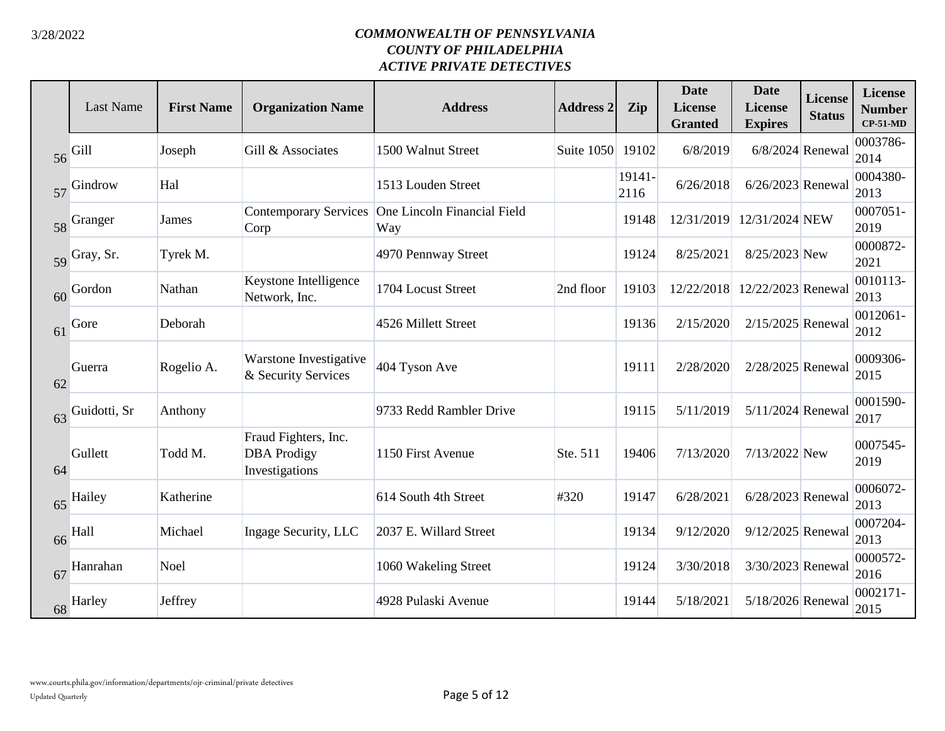|    | <b>Last Name</b> | <b>First Name</b> | <b>Organization Name</b>                                     | <b>Address</b>                     | <b>Address 2</b> | Zip            | <b>Date</b><br><b>License</b><br><b>Granted</b> | <b>Date</b><br><b>License</b><br><b>Expires</b> | <b>License</b><br><b>Status</b> | <b>License</b><br><b>Number</b><br>$CP-51-MD$ |
|----|------------------|-------------------|--------------------------------------------------------------|------------------------------------|------------------|----------------|-------------------------------------------------|-------------------------------------------------|---------------------------------|-----------------------------------------------|
| 56 | Gill             | Joseph            | Gill & Associates                                            | 1500 Walnut Street                 | Suite 1050       | 19102          | 6/8/2019                                        | 6/8/2024 Renewal                                |                                 | 0003786-<br>2014                              |
|    | 57 Gindrow       | Hal               |                                                              | 1513 Louden Street                 |                  | 19141-<br>2116 | 6/26/2018                                       | 6/26/2023 Renewal                               |                                 | 0004380-<br>2013                              |
|    | 58 Granger       | James             | <b>Contemporary Services</b><br>Corp                         | One Lincoln Financial Field<br>Way |                  | 19148          |                                                 | 12/31/2019 12/31/2024 NEW                       |                                 | 0007051-<br>2019                              |
|    | 59 Gray, Sr.     | Tyrek M.          |                                                              | 4970 Pennway Street                |                  | 19124          | 8/25/2021                                       | 8/25/2023 New                                   |                                 | 0000872-<br>2021                              |
| 60 | Gordon           | Nathan            | Keystone Intelligence<br>Network, Inc.                       | 1704 Locust Street                 | 2nd floor        | 19103          | 12/22/2018                                      | 12/22/2023 Renewal                              |                                 | 0010113-<br>2013                              |
| 61 | Gore             | Deborah           |                                                              | 4526 Millett Street                |                  | 19136          | 2/15/2020                                       | 2/15/2025 Renewal                               |                                 | 0012061-<br>2012                              |
| 62 | Guerra           | Rogelio A.        | Warstone Investigative<br>& Security Services                | 404 Tyson Ave                      |                  | 19111          | 2/28/2020                                       | 2/28/2025 Renewal                               |                                 | 0009306-<br>2015                              |
|    | 63 Guidotti, Sr  | Anthony           |                                                              | 9733 Redd Rambler Drive            |                  | 19115          | 5/11/2019                                       | 5/11/2024 Renewal                               |                                 | 0001590-<br>2017                              |
| 64 | Gullett          | Todd M.           | Fraud Fighters, Inc.<br><b>DBA</b> Prodigy<br>Investigations | 1150 First Avenue                  | Ste. 511         | 19406          | 7/13/2020                                       | 7/13/2022 New                                   |                                 | 0007545-<br>2019                              |
|    | 65 Hailey        | Katherine         |                                                              | 614 South 4th Street               | #320             | 19147          | 6/28/2021                                       | 6/28/2023 Renewal                               |                                 | 0006072-<br>2013                              |
|    | 66 Hall          | Michael           | Ingage Security, LLC                                         | 2037 E. Willard Street             |                  | 19134          | 9/12/2020                                       | 9/12/2025 Renewal                               |                                 | 0007204-<br>2013                              |
| 67 | Hanrahan         | Noel              |                                                              | 1060 Wakeling Street               |                  | 19124          | 3/30/2018                                       | 3/30/2023 Renewal                               |                                 | 0000572-<br>2016                              |
|    | 68 Harley        | Jeffrey           |                                                              | 4928 Pulaski Avenue                |                  | 19144          | 5/18/2021                                       | 5/18/2026 Renewal                               |                                 | 0002171-<br>2015                              |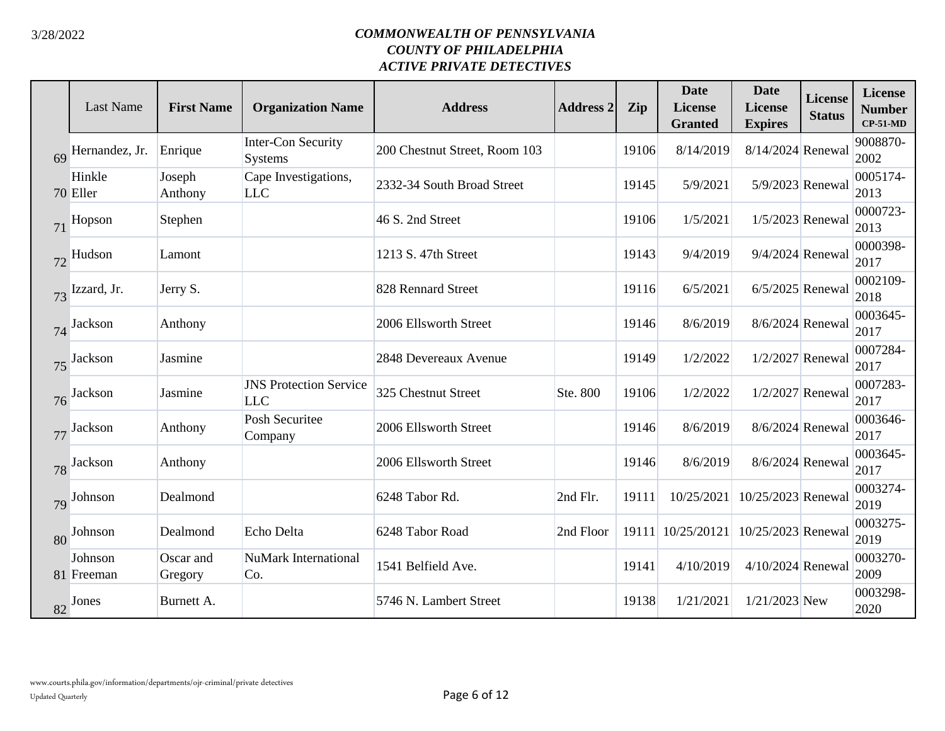|    | <b>Last Name</b>      | <b>First Name</b>    | <b>Organization Name</b>                    | <b>Address</b>                | <b>Address 2</b> | Zip   | <b>Date</b><br>License<br><b>Granted</b> | <b>Date</b><br><b>License</b><br><b>Expires</b> | <b>License</b><br><b>Status</b> | <b>License</b><br><b>Number</b><br>$CP-51-MD$ |
|----|-----------------------|----------------------|---------------------------------------------|-------------------------------|------------------|-------|------------------------------------------|-------------------------------------------------|---------------------------------|-----------------------------------------------|
| 69 | Hernandez, Jr.        | Enrique              | <b>Inter-Con Security</b><br>Systems        | 200 Chestnut Street, Room 103 |                  | 19106 | 8/14/2019                                | 8/14/2024 Renewal                               |                                 | 9008870-<br>2002                              |
|    | Hinkle<br>70 Eller    | Joseph<br>Anthony    | Cape Investigations,<br><b>LLC</b>          | 2332-34 South Broad Street    |                  | 19145 | 5/9/2021                                 | 5/9/2023 Renewal                                |                                 | 0005174-<br>2013                              |
| 71 | Hopson                | Stephen              |                                             | 46 S. 2nd Street              |                  | 19106 | 1/5/2021                                 | 1/5/2023 Renewal                                |                                 | 0000723-<br>2013                              |
|    | 72 Hudson             | Lamont               |                                             | 1213 S. 47th Street           |                  | 19143 | 9/4/2019                                 | 9/4/2024 Renewal                                |                                 | 0000398-<br>2017                              |
|    | 73 Izzard, Jr.        | Jerry S.             |                                             | 828 Rennard Street            |                  | 19116 | 6/5/2021                                 | $6/5/2025$ Renewal                              |                                 | 0002109-<br>2018                              |
|    | 74 Jackson            | Anthony              |                                             | 2006 Ellsworth Street         |                  | 19146 | 8/6/2019                                 | 8/6/2024 Renewal                                |                                 | 0003645-<br>2017                              |
|    | 75 Jackson            | Jasmine              |                                             | 2848 Devereaux Avenue         |                  | 19149 | 1/2/2022                                 |                                                 | 1/2/2027 Renewal                | 0007284-<br>2017                              |
| 76 | Jackson               | Jasmine              | <b>JNS Protection Service</b><br><b>LLC</b> | 325 Chestnut Street           | Ste. 800         | 19106 | 1/2/2022                                 | 1/2/2027 Renewal                                |                                 | 0007283-<br>2017                              |
| 77 | Jackson               | Anthony              | Posh Securitee<br>Company                   | 2006 Ellsworth Street         |                  | 19146 | 8/6/2019                                 | 8/6/2024 Renewal                                |                                 | 0003646-<br>2017                              |
|    | 78 Jackson            | Anthony              |                                             | 2006 Ellsworth Street         |                  | 19146 | 8/6/2019                                 | 8/6/2024 Renewal                                |                                 | 0003645-<br>2017                              |
|    | 79 Johnson            | Dealmond             |                                             | 6248 Tabor Rd.                | 2nd Flr.         | 19111 | 10/25/2021                               | 10/25/2023 Renewal                              |                                 | 0003274-<br>2019                              |
|    | 80 Johnson            | Dealmond             | Echo Delta                                  | 6248 Tabor Road               | 2nd Floor        |       | 19111 10/25/20121                        | 10/25/2023 Renewal                              |                                 | 0003275-<br>2019                              |
|    | Johnson<br>81 Freeman | Oscar and<br>Gregory | <b>NuMark International</b><br>Co.          | 1541 Belfield Ave.            |                  | 19141 | 4/10/2019                                | 4/10/2024 Renewal                               |                                 | 0003270-<br>2009                              |
|    | 82 Jones              | Burnett A.           |                                             | 5746 N. Lambert Street        |                  | 19138 | 1/21/2021                                | $1/21/2023$ New                                 |                                 | 0003298-<br>2020                              |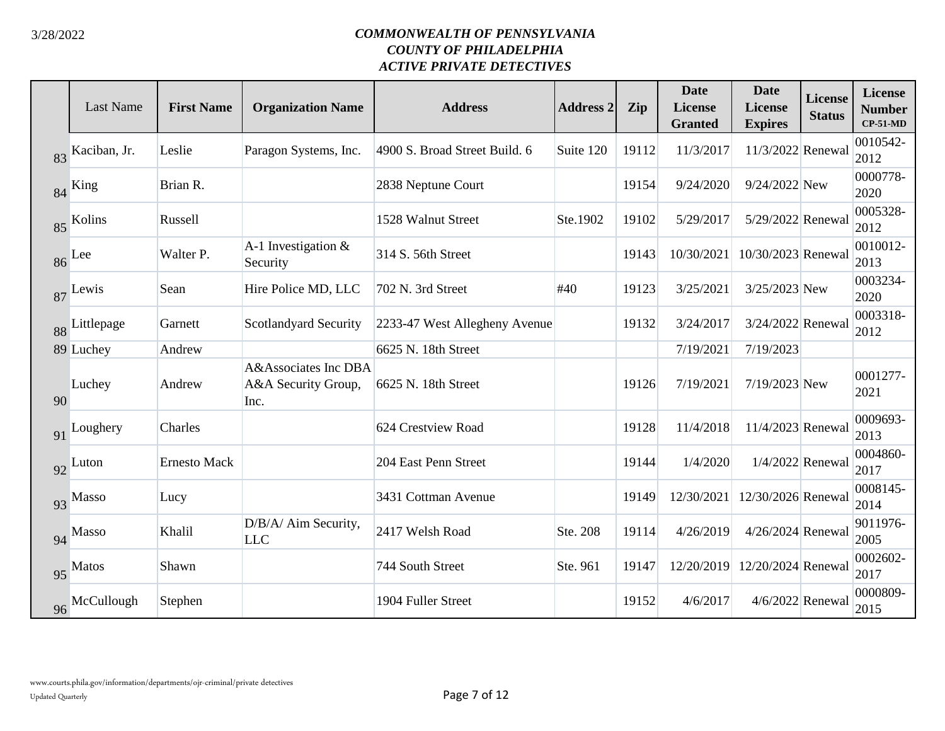|    | Last Name       | <b>First Name</b> | <b>Organization Name</b>                            | <b>Address</b>                | <b>Address 2</b> | Zip   | <b>Date</b><br><b>License</b><br><b>Granted</b> | <b>Date</b><br>License<br><b>Expires</b> | <b>License</b><br><b>Status</b> | License<br><b>Number</b><br>$CP-51-MD$ |
|----|-----------------|-------------------|-----------------------------------------------------|-------------------------------|------------------|-------|-------------------------------------------------|------------------------------------------|---------------------------------|----------------------------------------|
|    | 83 Kaciban, Jr. | Leslie            | Paragon Systems, Inc.                               | 4900 S. Broad Street Build. 6 | Suite 120        | 19112 | 11/3/2017                                       | 11/3/2022 Renewal                        |                                 | 0010542-<br>2012                       |
|    | 84 King         | Brian R.          |                                                     | 2838 Neptune Court            |                  | 19154 | 9/24/2020                                       | 9/24/2022 New                            |                                 | 0000778-<br>2020                       |
|    | 85 Kolins       | Russell           |                                                     | 1528 Walnut Street            | Ste.1902         | 19102 | 5/29/2017                                       | 5/29/2022 Renewal                        |                                 | 0005328-<br>2012                       |
|    | 86 Lee          | Walter P.         | A-1 Investigation $&$<br>Security                   | 314 S. 56th Street            |                  | 19143 | 10/30/2021                                      | 10/30/2023 Renewal                       |                                 | 0010012-<br>2013                       |
|    | 87 Lewis        | Sean              | Hire Police MD, LLC                                 | 702 N. 3rd Street             | #40              | 19123 | 3/25/2021                                       | 3/25/2023 New                            |                                 | 0003234-<br>2020                       |
|    | 88 Littlepage   | Garnett           | Scotlandyard Security                               | 2233-47 West Allegheny Avenue |                  | 19132 | 3/24/2017                                       | 3/24/2022 Renewal                        |                                 | 0003318-<br>2012                       |
|    | 89 Luchey       | Andrew            |                                                     | 6625 N. 18th Street           |                  |       | 7/19/2021                                       | 7/19/2023                                |                                 |                                        |
| 90 | Luchey          | Andrew            | A&Associates Inc DBA<br>A&A Security Group,<br>Inc. | 6625 N. 18th Street           |                  | 19126 | 7/19/2021                                       | 7/19/2023 New                            |                                 | 0001277-<br>2021                       |
| 91 | Loughery        | Charles           |                                                     | 624 Crestview Road            |                  | 19128 | 11/4/2018                                       | 11/4/2023 Renewal                        |                                 | 0009693-<br>2013                       |
|    | 92 Luton        | Ernesto Mack      |                                                     | 204 East Penn Street          |                  | 19144 | 1/4/2020                                        | 1/4/2022 Renewal                         |                                 | 0004860-<br>2017                       |
|    | 93 Masso        | Lucy              |                                                     | 3431 Cottman Avenue           |                  | 19149 | 12/30/2021                                      | 12/30/2026 Renewal                       |                                 | 0008145-<br>2014                       |
|    | 94 Masso        | Khalil            | D/B/A/ Aim Security,<br><b>LLC</b>                  | 2417 Welsh Road               | Ste. 208         | 19114 | 4/26/2019                                       | 4/26/2024 Renewal                        |                                 | 9011976-<br>2005                       |
|    | 95 Matos        | Shawn             |                                                     | 744 South Street              | Ste. 961         | 19147 | 12/20/2019                                      | 12/20/2024 Renewal                       |                                 | 0002602-<br>2017                       |
|    | 96 McCullough   | Stephen           |                                                     | 1904 Fuller Street            |                  | 19152 | 4/6/2017                                        | 4/6/2022 Renewal                         |                                 | 0000809-<br>2015                       |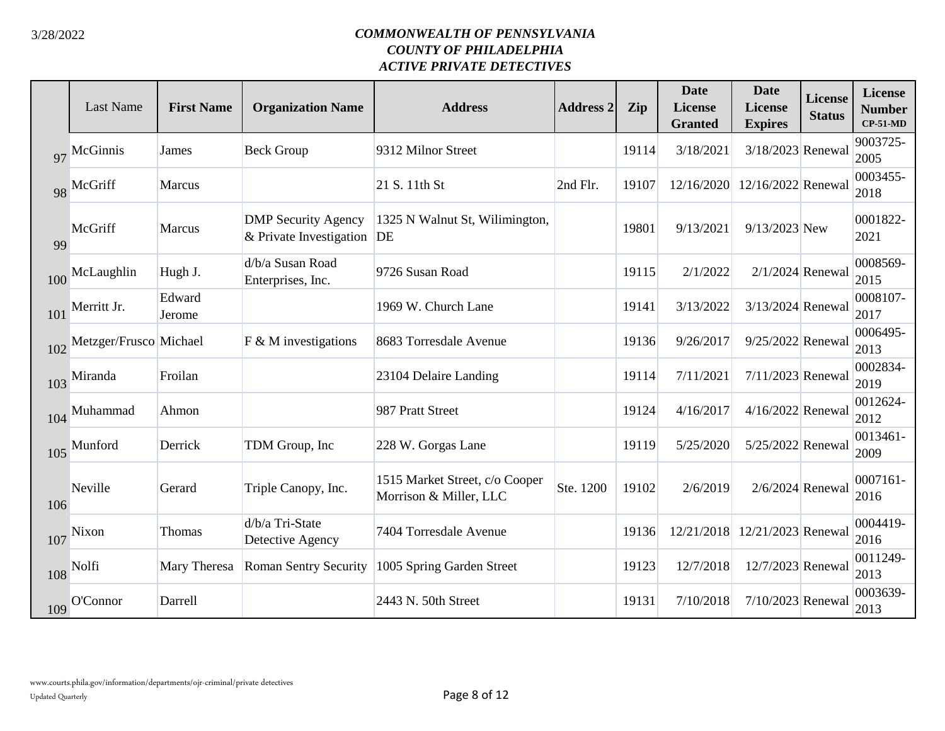|     | <b>Last Name</b>       | <b>First Name</b> | <b>Organization Name</b>                                 | <b>Address</b>                                           | <b>Address 2</b> | <b>Zip</b> | <b>Date</b><br>License<br><b>Granted</b> | <b>Date</b><br>License<br><b>Expires</b> | <b>License</b><br><b>Status</b> | <b>License</b><br><b>Number</b><br>$CP-51-MD$ |
|-----|------------------------|-------------------|----------------------------------------------------------|----------------------------------------------------------|------------------|------------|------------------------------------------|------------------------------------------|---------------------------------|-----------------------------------------------|
| 97  | McGinnis               | James             | <b>Beck Group</b>                                        | 9312 Milnor Street                                       |                  | 19114      | 3/18/2021                                | 3/18/2023 Renewal                        |                                 | 9003725-<br>2005                              |
|     | 98 McGriff             | <b>Marcus</b>     |                                                          | 21 S. 11th St                                            | 2nd Flr.         | 19107      | 12/16/2020                               | 12/16/2022 Renewal                       |                                 | 0003455-<br>2018                              |
| 99  | McGriff                | <b>Marcus</b>     | <b>DMP</b> Security Agency<br>& Private Investigation DE | 1325 N Walnut St, Wilimington,                           |                  | 19801      | 9/13/2021                                | 9/13/2023 New                            |                                 | 0001822-<br>2021                              |
| 100 | McLaughlin             | Hugh J.           | d/b/a Susan Road<br>Enterprises, Inc.                    | 9726 Susan Road                                          |                  | 19115      | 2/1/2022                                 | $2/1/2024$ Renewal                       |                                 | 0008569-<br>2015                              |
| 101 | Merritt Jr.            | Edward<br>Jerome  |                                                          | 1969 W. Church Lane                                      |                  | 19141      | 3/13/2022                                | 3/13/2024 Renewal                        |                                 | 0008107-<br>2017                              |
| 102 | Metzger/Frusco Michael |                   | $F$ & M investigations                                   | 8683 Torresdale Avenue                                   |                  | 19136      | 9/26/2017                                | 9/25/2022 Renewal                        |                                 | 0006495-<br>2013                              |
|     | 103 Miranda            | Froilan           |                                                          | 23104 Delaire Landing                                    |                  | 19114      | 7/11/2021                                | 7/11/2023 Renewal                        |                                 | 0002834-<br>2019                              |
| 104 | Muhammad               | Ahmon             |                                                          | 987 Pratt Street                                         |                  | 19124      | 4/16/2017                                | 4/16/2022 Renewal                        |                                 | 0012624-<br>2012                              |
| 105 | Munford                | Derrick           | TDM Group, Inc                                           | 228 W. Gorgas Lane                                       |                  | 19119      | 5/25/2020                                | 5/25/2022 Renewal                        |                                 | 0013461-<br>2009                              |
| 106 | Neville                | Gerard            | Triple Canopy, Inc.                                      | 1515 Market Street, c/o Cooper<br>Morrison & Miller, LLC | Ste. 1200        | 19102      | 2/6/2019                                 | 2/6/2024 Renewal                         |                                 | 0007161-<br>2016                              |
| 107 | Nixon                  | Thomas            | d/b/a Tri-State<br>Detective Agency                      | 7404 Torresdale Avenue                                   |                  | 19136      |                                          | 12/21/2018 12/21/2023 Renewal            |                                 | 0004419-<br>2016                              |
|     | $108$ Nolfi            | Mary Theresa      | <b>Roman Sentry Security</b>                             | 1005 Spring Garden Street                                |                  | 19123      | 12/7/2018                                | 12/7/2023 Renewal                        |                                 | 0011249-<br>2013                              |
|     | 109 O'Connor           | Darrell           |                                                          | 2443 N. 50th Street                                      |                  | 19131      | 7/10/2018                                | 7/10/2023 Renewal                        |                                 | 0003639-<br>2013                              |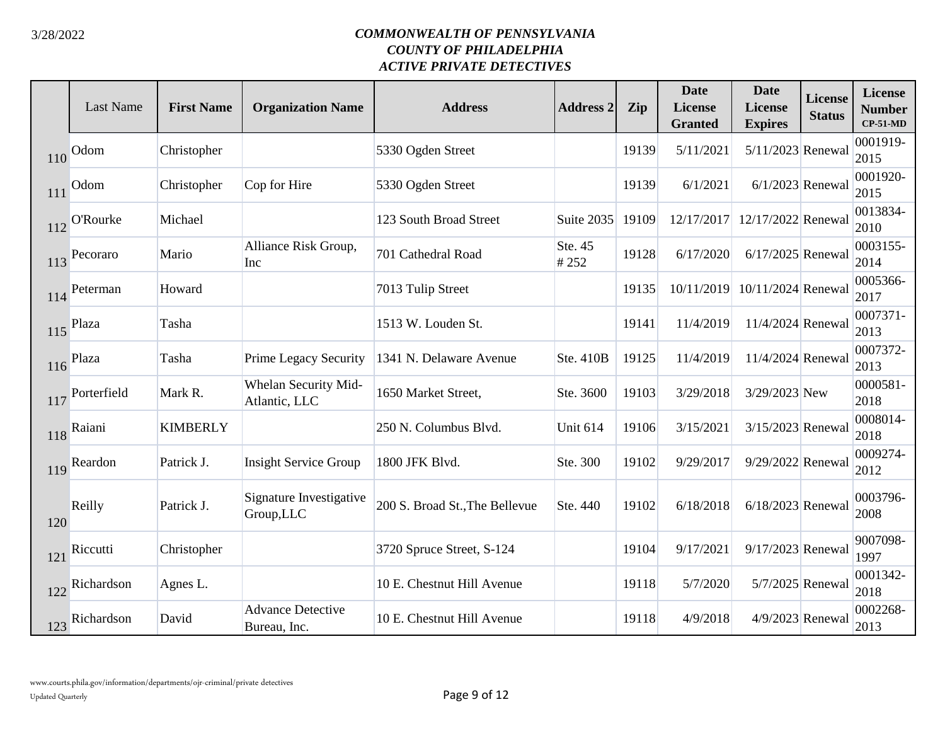|     | <b>Last Name</b> | <b>First Name</b> | <b>Organization Name</b>                 | <b>Address</b>                 | <b>Address 2</b> | Zip   | <b>Date</b><br><b>License</b><br><b>Granted</b> | <b>Date</b><br><b>License</b><br><b>Expires</b> | <b>License</b><br><b>Status</b> | <b>License</b><br><b>Number</b><br>$CP-51-MD$ |
|-----|------------------|-------------------|------------------------------------------|--------------------------------|------------------|-------|-------------------------------------------------|-------------------------------------------------|---------------------------------|-----------------------------------------------|
| 110 | Odom             | Christopher       |                                          | 5330 Ogden Street              |                  | 19139 | 5/11/2021                                       | 5/11/2023 Renewal                               |                                 | 0001919-<br>2015                              |
| 111 | Odom             | Christopher       | Cop for Hire                             | 5330 Ogden Street              |                  | 19139 | 6/1/2021                                        | $6/1/2023$ Renewal                              |                                 | 0001920-<br>2015                              |
| 112 | <b>O'Rourke</b>  | Michael           |                                          | 123 South Broad Street         | Suite 2035       | 19109 | 12/17/2017                                      | 12/17/2022 Renewal                              |                                 | 0013834-<br>2010                              |
| 113 | Pecoraro         | Mario             | Alliance Risk Group,<br>Inc              | 701 Cathedral Road             | Ste. 45<br>#252  | 19128 | 6/17/2020                                       | $6/17/2025$ Renewal                             |                                 | 0003155-<br>2014                              |
| 114 | Peterman         | Howard            |                                          | 7013 Tulip Street              |                  | 19135 | 10/11/2019                                      | 10/11/2024 Renewal                              |                                 | 0005366-<br>2017                              |
| 115 | Plaza            | Tasha             |                                          | 1513 W. Louden St.             |                  | 19141 | 11/4/2019                                       | 11/4/2024 Renewal                               |                                 | 0007371-<br>2013                              |
| 116 | Plaza            | Tasha             | <b>Prime Legacy Security</b>             | 1341 N. Delaware Avenue        | Ste. 410B        | 19125 | 11/4/2019                                       | 11/4/2024 Renewal                               |                                 | 0007372-<br>2013                              |
| 117 | Porterfield      | Mark R.           | Whelan Security Mid-<br>Atlantic, LLC    | 1650 Market Street,            | Ste. 3600        | 19103 | 3/29/2018                                       | 3/29/2023 New                                   |                                 | 0000581-<br>2018                              |
| 118 | Raiani           | <b>KIMBERLY</b>   |                                          | 250 N. Columbus Blvd.          | Unit 614         | 19106 | 3/15/2021                                       | 3/15/2023 Renewal                               |                                 | 0008014-<br>2018                              |
| 119 | Reardon          | Patrick J.        | <b>Insight Service Group</b>             | 1800 JFK Blvd.                 | Ste. 300         | 19102 | 9/29/2017                                       | 9/29/2022 Renewal                               |                                 | 0009274-<br>2012                              |
| 120 | Reilly           | Patrick J.        | Signature Investigative<br>Group, LLC    | 200 S. Broad St., The Bellevue | Ste. 440         | 19102 | 6/18/2018                                       | 6/18/2023 Renewal                               |                                 | 0003796-<br>2008                              |
| 121 | Riccutti         | Christopher       |                                          | 3720 Spruce Street, S-124      |                  | 19104 | 9/17/2021                                       | 9/17/2023 Renewal                               |                                 | 9007098-<br>1997                              |
| 122 | Richardson       | Agnes L.          |                                          | 10 E. Chestnut Hill Avenue     |                  | 19118 | 5/7/2020                                        | 5/7/2025 Renewal                                |                                 | 0001342-<br>2018                              |
| 123 | Richardson       | David             | <b>Advance Detective</b><br>Bureau, Inc. | 10 E. Chestnut Hill Avenue     |                  | 19118 | 4/9/2018                                        | 4/9/2023 Renewal                                |                                 | 0002268-<br>2013                              |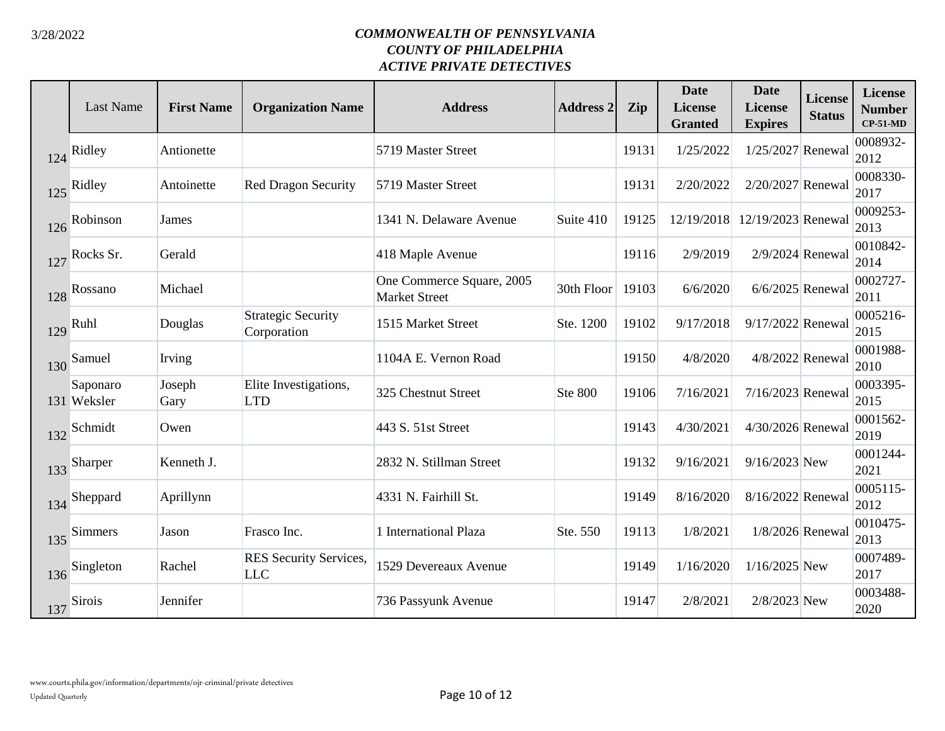|     | <b>Last Name</b>        | <b>First Name</b> | <b>Organization Name</b>                 | <b>Address</b>                                    | <b>Address 2</b> | Zip   | <b>Date</b><br><b>License</b><br><b>Granted</b> | <b>Date</b><br>License<br><b>Expires</b> | <b>License</b><br><b>Status</b> | <b>License</b><br><b>Number</b><br>$CP-51-MD$ |
|-----|-------------------------|-------------------|------------------------------------------|---------------------------------------------------|------------------|-------|-------------------------------------------------|------------------------------------------|---------------------------------|-----------------------------------------------|
| 124 | Ridley                  | Antionette        |                                          | 5719 Master Street                                |                  | 19131 | 1/25/2022                                       | 1/25/2027 Renewal                        |                                 | 0008932-<br>2012                              |
| 125 | Ridley                  | Antoinette        | <b>Red Dragon Security</b>               | 5719 Master Street                                |                  | 19131 | 2/20/2022                                       | 2/20/2027 Renewal                        |                                 | 0008330-<br>2017                              |
| 126 | Robinson                | James             |                                          | 1341 N. Delaware Avenue                           | Suite 410        | 19125 |                                                 | 12/19/2018 12/19/2023 Renewal            |                                 | 0009253-<br>2013                              |
| 127 | Rocks Sr.               | Gerald            |                                          | 418 Maple Avenue                                  |                  | 19116 | 2/9/2019                                        | 2/9/2024 Renewal                         |                                 | 0010842-<br>2014                              |
| 128 | Rossano                 | Michael           |                                          | One Commerce Square, 2005<br><b>Market Street</b> | 30th Floor 19103 |       | 6/6/2020                                        | $6/6/2025$ Renewal                       |                                 | 0002727-<br>2011                              |
| 129 | Ruhl                    | Douglas           | <b>Strategic Security</b><br>Corporation | 1515 Market Street                                | Ste. 1200        | 19102 | 9/17/2018                                       | 9/17/2022 Renewal                        |                                 | 0005216-<br>2015                              |
| 130 | Samuel                  | Irving            |                                          | 1104A E. Vernon Road                              |                  | 19150 | 4/8/2020                                        | 4/8/2022 Renewal                         |                                 | 0001988-<br>2010                              |
|     | Saponaro<br>131 Weksler | Joseph<br>Gary    | Elite Investigations,<br><b>LTD</b>      | 325 Chestnut Street                               | <b>Ste 800</b>   | 19106 | 7/16/2021                                       | 7/16/2023 Renewal                        |                                 | 0003395-<br>2015                              |
| 132 | Schmidt                 | Owen              |                                          | 443 S. 51st Street                                |                  | 19143 | 4/30/2021                                       | 4/30/2026 Renewal                        |                                 | 0001562-<br>2019                              |
| 133 | Sharper                 | Kenneth J.        |                                          | 2832 N. Stillman Street                           |                  | 19132 | 9/16/2021                                       | 9/16/2023 New                            |                                 | 0001244-<br>2021                              |
| 134 | Sheppard                | Aprillynn         |                                          | 4331 N. Fairhill St.                              |                  | 19149 | 8/16/2020                                       | 8/16/2022 Renewal                        |                                 | 0005115-<br>2012                              |
| 135 | <b>Simmers</b>          | Jason             | Frasco Inc.                              | 1 International Plaza                             | Ste. 550         | 19113 | 1/8/2021                                        | 1/8/2026 Renewal                         |                                 | 0010475-<br>2013                              |
| 136 | Singleton               | Rachel            | RES Security Services,<br><b>LLC</b>     | 1529 Devereaux Avenue                             |                  | 19149 | 1/16/2020                                       | $1/16/2025$ New                          |                                 | 0007489-<br>2017                              |
| 137 | <b>Sirois</b>           | Jennifer          |                                          | 736 Passyunk Avenue                               |                  | 19147 | 2/8/2021                                        | 2/8/2023 New                             |                                 | 0003488-<br>2020                              |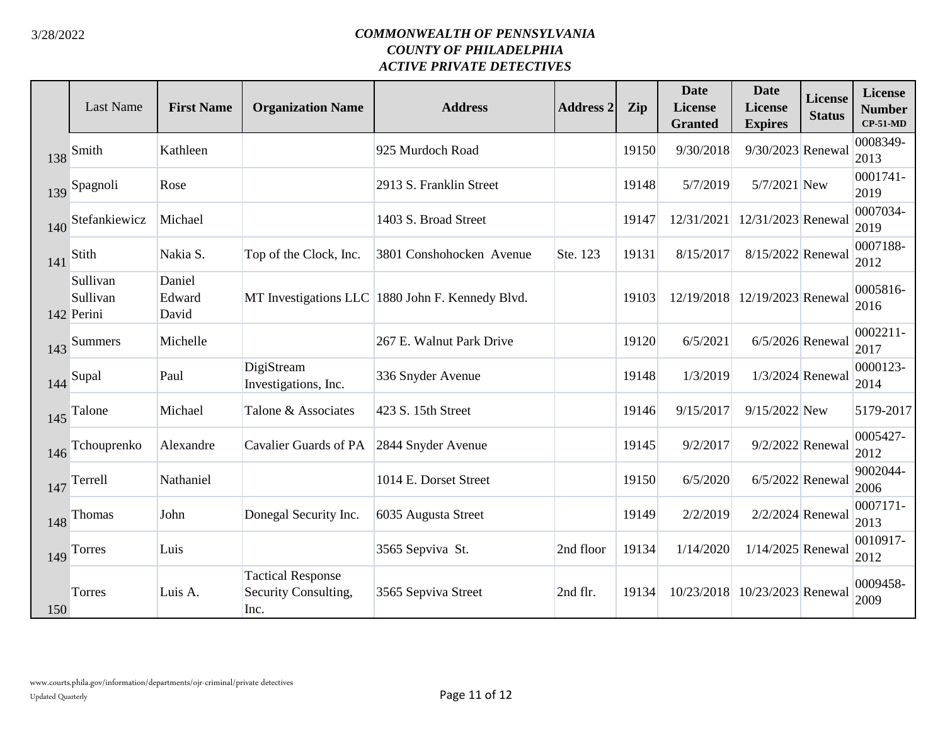|     | <b>Last Name</b>                   | <b>First Name</b>         | <b>Organization Name</b>                                 | <b>Address</b>                                   | <b>Address 2</b> | Zip   | <b>Date</b><br><b>License</b><br><b>Granted</b> | <b>Date</b><br>License<br><b>Expires</b> | <b>License</b><br><b>Status</b> | <b>License</b><br><b>Number</b><br>$CP-51-MD$ |
|-----|------------------------------------|---------------------------|----------------------------------------------------------|--------------------------------------------------|------------------|-------|-------------------------------------------------|------------------------------------------|---------------------------------|-----------------------------------------------|
| 138 | Smith                              | Kathleen                  |                                                          | 925 Murdoch Road                                 |                  | 19150 | 9/30/2018                                       | 9/30/2023 Renewal                        |                                 | 0008349-<br>2013                              |
| 139 | Spagnoli                           | Rose                      |                                                          | 2913 S. Franklin Street                          |                  | 19148 | 5/7/2019                                        | 5/7/2021 New                             |                                 | 0001741-<br>2019                              |
| 140 | Stefankiewicz                      | Michael                   |                                                          | 1403 S. Broad Street                             |                  | 19147 | 12/31/2021                                      | 12/31/2023 Renewal                       |                                 | 0007034-<br>2019                              |
| 141 | Stith                              | Nakia S.                  | Top of the Clock, Inc.                                   | 3801 Conshohocken Avenue                         | Ste. 123         | 19131 | 8/15/2017                                       | 8/15/2022 Renewal                        |                                 | 0007188-<br>2012                              |
|     | Sullivan<br>Sullivan<br>142 Perini | Daniel<br>Edward<br>David |                                                          | MT Investigations LLC 1880 John F. Kennedy Blvd. |                  | 19103 |                                                 | 12/19/2018 12/19/2023 Renewal            |                                 | 0005816-<br>2016                              |
| 143 | <b>Summers</b>                     | Michelle                  |                                                          | 267 E. Walnut Park Drive                         |                  | 19120 | 6/5/2021                                        | $6/5/2026$ Renewal                       |                                 | $0002211 -$<br>2017                           |
| 144 | Supal                              | Paul                      | DigiStream<br>Investigations, Inc.                       | 336 Snyder Avenue                                |                  | 19148 | 1/3/2019                                        | 1/3/2024 Renewal                         |                                 | 0000123-<br>2014                              |
| 145 | Talone                             | Michael                   | Talone & Associates                                      | 423 S. 15th Street                               |                  | 19146 | 9/15/2017                                       | 9/15/2022 New                            |                                 | 5179-2017                                     |
| 146 | Tchouprenko                        | Alexandre                 | Cavalier Guards of PA                                    | 2844 Snyder Avenue                               |                  | 19145 | 9/2/2017                                        | 9/2/2022 Renewal                         |                                 | 0005427-<br>2012                              |
| 147 | Terrell                            | Nathaniel                 |                                                          | 1014 E. Dorset Street                            |                  | 19150 | 6/5/2020                                        | $6/5/2022$ Renewal                       |                                 | 9002044-<br>2006                              |
| 148 | <b>Thomas</b>                      | John                      | Donegal Security Inc.                                    | 6035 Augusta Street                              |                  | 19149 | 2/2/2019                                        | 2/2/2024 Renewal                         |                                 | 0007171-<br>2013                              |
| 149 | Torres                             | Luis                      |                                                          | 3565 Sepviva St.                                 | 2nd floor        | 19134 | 1/14/2020                                       | $1/14/2025$ Renewal                      |                                 | 0010917-<br>2012                              |
| 150 | Torres                             | Luis A.                   | <b>Tactical Response</b><br>Security Consulting,<br>Inc. | 3565 Sepviva Street                              | 2nd flr.         | 19134 | 10/23/2018                                      | 10/23/2023 Renewal                       |                                 | 0009458-<br>2009                              |